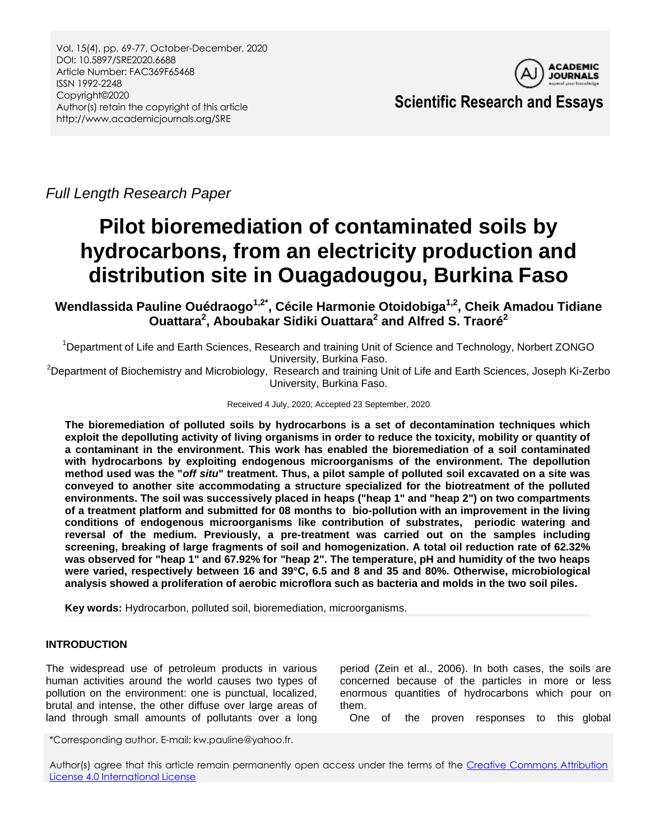

**Scientific Research and Essays**

*Full Length Research Paper*

# **Pilot bioremediation of contaminated soils by hydrocarbons, from an electricity production and distribution site in Ouagadougou, Burkina Faso**

**Wendlassida Pauline Ouédraogo1,2\*, Cécile Harmonie Otoidobiga1,2 , Cheik Amadou Tidiane Ouattara<sup>2</sup> , Aboubakar Sidiki Ouattara<sup>2</sup> and Alfred S. Traoré<sup>2</sup>**

<sup>1</sup>Department of Life and Earth Sciences, Research and training Unit of Science and Technology, Norbert ZONGO University, Burkina Faso.

<sup>2</sup>Department of Biochemistry and Microbiology, Research and training Unit of Life and Earth Sciences, Joseph Ki-Zerbo University, Burkina Faso.

## Received 4 July, 2020; Accepted 23 September, 2020

**The bioremediation of polluted soils by hydrocarbons is a set of decontamination techniques which exploit the depolluting activity of living organisms in order to reduce the toxicity, mobility or quantity of a contaminant in the environment. This work has enabled the bioremediation of a soil contaminated with hydrocarbons by exploiting endogenous microorganisms of the environment. The depollution method used was the "***off situ***" treatment. Thus, a pilot sample of polluted soil excavated on a site was conveyed to another site accommodating a structure specialized for the biotreatment of the polluted environments. The soil was successively placed in heaps ("heap 1" and "heap 2") on two compartments of a treatment platform and submitted for 08 months to bio-pollution with an improvement in the living conditions of endogenous microorganisms like contribution of substrates, periodic watering and reversal of the medium. Previously, a pre-treatment was carried out on the samples including screening, breaking of large fragments of soil and homogenization. A total oil reduction rate of 62.32% was observed for "heap 1" and 67.92% for "heap 2". The temperature, pH and humidity of the two heaps were varied, respectively between 16 and 39°C, 6.5 and 8 and 35 and 80%. Otherwise, microbiological analysis showed a proliferation of aerobic microflora such as bacteria and molds in the two soil piles.**

**Key words:** Hydrocarbon, polluted soil, bioremediation, microorganisms.

# **INTRODUCTION**

The widespread use of petroleum products in various human activities around the world causes two types of pollution on the environment: one is punctual, localized, brutal and intense, the other diffuse over large areas of land through small amounts of pollutants over a long

period (Zein et al., 2006). In both cases, the soils are concerned because of the particles in more or less enormous quantities of hydrocarbons which pour on them.

One of the proven responses to this global

\*Corresponding author. E-mail: kw.pauline@yahoo.fr.

Author(s) agree that this article remain permanently open access under the terms of the Creative Commons Attribution [License 4.0 International License](http://creativecommons.org/licenses/by/4.0/deed.en_US)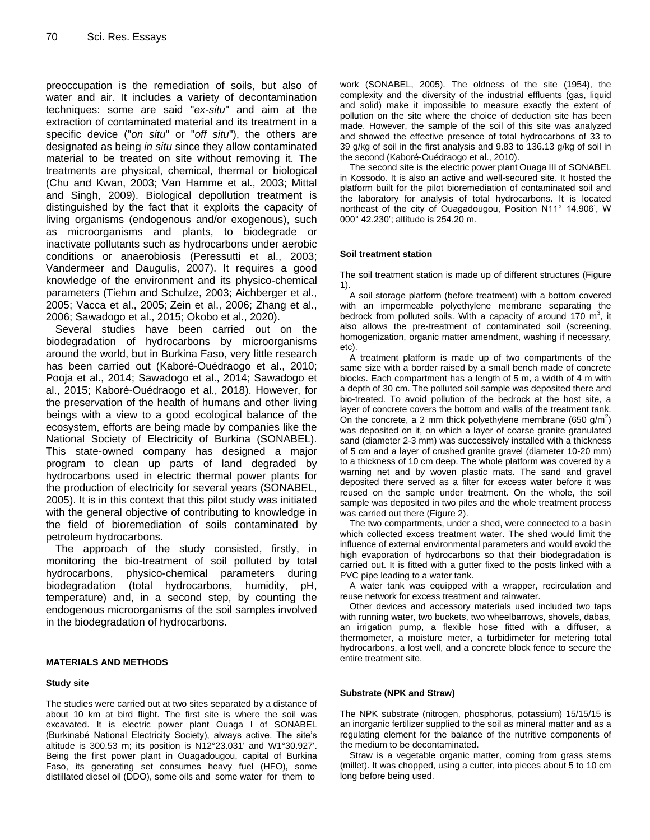preoccupation is the remediation of soils, but also of water and air. It includes a variety of decontamination techniques: some are said "*ex-situ*" and aim at the extraction of contaminated material and its treatment in a specific device ("*on situ*" or "*off situ*"), the others are designated as being *in situ* since they allow contaminated material to be treated on site without removing it. The treatments are physical, chemical, thermal or biological (Chu and Kwan, 2003; Van Hamme et al., 2003; Mittal and Singh, 2009). Biological depollution treatment is distinguished by the fact that it exploits the capacity of living organisms (endogenous and/or exogenous), such as microorganisms and plants, to biodegrade or inactivate pollutants such as hydrocarbons under aerobic conditions or anaerobiosis (Peressutti et al., 2003; Vandermeer and Daugulis, 2007). It requires a good knowledge of the environment and its physico-chemical parameters (Tiehm and Schulze, 2003; Aichberger et al., 2005; Vacca et al., 2005; Zein et al., 2006; Zhang et al., 2006; Sawadogo et al., 2015; Okobo et al., 2020).

Several studies have been carried out on the biodegradation of hydrocarbons by microorganisms around the world, but in Burkina Faso, very little research has been carried out (Kaboré-Ouédraogo et al., 2010; Pooja et al., 2014; Sawadogo et al., 2014; Sawadogo et al., 2015; Kaboré-Ouédraogo et al., 2018). However, for the preservation of the health of humans and other living beings with a view to a good ecological balance of the ecosystem, efforts are being made by companies like the National Society of Electricity of Burkina (SONABEL). This state-owned company has designed a major program to clean up parts of land degraded by hydrocarbons used in electric thermal power plants for the production of electricity for several years (SONABEL, 2005). It is in this context that this pilot study was initiated with the general objective of contributing to knowledge in the field of bioremediation of soils contaminated by petroleum hydrocarbons.

The approach of the study consisted, firstly, in monitoring the bio-treatment of soil polluted by total hydrocarbons, physico-chemical parameters during biodegradation (total hydrocarbons, humidity, pH, temperature) and, in a second step, by counting the endogenous microorganisms of the soil samples involved in the biodegradation of hydrocarbons.

#### **MATERIALS AND METHODS**

#### **Study site**

The studies were carried out at two sites separated by a distance of about 10 km at bird flight. The first site is where the soil was excavated. It is electric power plant Ouaga I of SONABEL (Burkinabé National Electricity Society), always active. The site's altitude is 300.53 m; its position is N12°23.031' and W1°30.927'. Being the first power plant in Ouagadougou, capital of Burkina Faso, its generating set consumes heavy fuel (HFO), some distillated diesel oil (DDO), some oils and some water for them to

work (SONABEL, 2005). The oldness of the site (1954), the complexity and the diversity of the industrial effluents (gas, liquid and solid) make it impossible to measure exactly the extent of pollution on the site where the choice of deduction site has been made. However, the sample of the soil of this site was analyzed and showed the effective presence of total hydrocarbons of 33 to 39 g/kg of soil in the first analysis and 9.83 to 136.13 g/kg of soil in the second (Kaboré-Ouédraogo et al., 2010).

The second site is the electric power plant Ouaga III of SONABEL in Kossodo. It is also an active and well-secured site. It hosted the platform built for the pilot bioremediation of contaminated soil and the laboratory for analysis of total hydrocarbons. It is located northeast of the city of Ouagadougou, Position N11° 14.906', W 000° 42.230'; altitude is 254.20 m.

#### **Soil treatment station**

The soil treatment station is made up of different structures (Figure 1).

A soil storage platform (before treatment) with a bottom covered with an impermeable polyethylene membrane separating the bedrock from polluted soils. With a capacity of around 170  $\mathrm{m}^3$ , it also allows the pre-treatment of contaminated soil (screening, homogenization, organic matter amendment, washing if necessary, etc).

A treatment platform is made up of two compartments of the same size with a border raised by a small bench made of concrete blocks. Each compartment has a length of 5 m, a width of 4 m with a depth of 30 cm. The polluted soil sample was deposited there and bio-treated. To avoid pollution of the bedrock at the host site, a layer of concrete covers the bottom and walls of the treatment tank. On the concrete, a 2 mm thick polyethylene membrane (650 g/m<sup>2</sup>) was deposited on it, on which a layer of coarse granite granulated sand (diameter 2-3 mm) was successively installed with a thickness of 5 cm and a layer of crushed granite gravel (diameter 10-20 mm) to a thickness of 10 cm deep. The whole platform was covered by a warning net and by woven plastic mats. The sand and gravel deposited there served as a filter for excess water before it was reused on the sample under treatment. On the whole, the soil sample was deposited in two piles and the whole treatment process was carried out there (Figure 2).

The two compartments, under a shed, were connected to a basin which collected excess treatment water. The shed would limit the influence of external environmental parameters and would avoid the high evaporation of hydrocarbons so that their biodegradation is carried out. It is fitted with a gutter fixed to the posts linked with a PVC pipe leading to a water tank.

A water tank was equipped with a wrapper, recirculation and reuse network for excess treatment and rainwater.

Other devices and accessory materials used included two taps with running water, two buckets, two wheelbarrows, shovels, dabas, an irrigation pump, a flexible hose fitted with a diffuser, a thermometer, a moisture meter, a turbidimeter for metering total hydrocarbons, a lost well, and a concrete block fence to secure the entire treatment site.

#### **Substrate (NPK and Straw)**

The NPK substrate (nitrogen, phosphorus, potassium) 15/15/15 is an inorganic fertilizer supplied to the soil as mineral matter and as a regulating element for the balance of the nutritive components of the medium to be decontaminated.

Straw is a vegetable organic matter, coming from grass stems (millet). It was chopped, using a cutter, into pieces about 5 to 10 cm long before being used.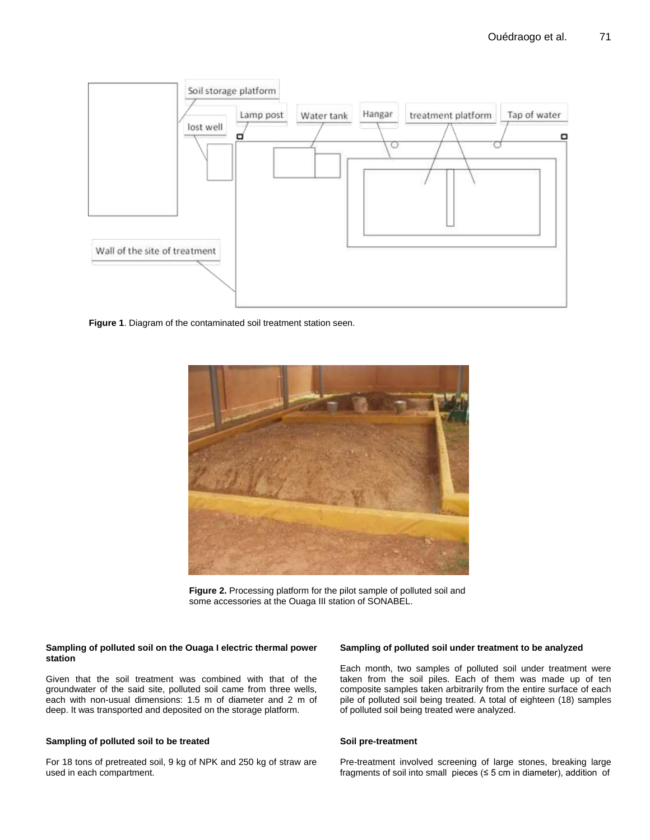

**Figure 1**. Diagram of the contaminated soil treatment station seen.



**Figure 2.** Processing platform for the pilot sample of polluted soil and some accessories at the Ouaga III station of SONABEL.

### **Sampling of polluted soil on the Ouaga I electric thermal power station**

Given that the soil treatment was combined with that of the groundwater of the said site, polluted soil came from three wells, each with non-usual dimensions: 1.5 m of diameter and 2 m of deep. It was transported and deposited on the storage platform.

# **Sampling of polluted soil to be treated**

For 18 tons of pretreated soil, 9 kg of NPK and 250 kg of straw are used in each compartment.

## **Sampling of polluted soil under treatment to be analyzed**

Each month, two samples of polluted soil under treatment were taken from the soil piles. Each of them was made up of ten composite samples taken arbitrarily from the entire surface of each pile of polluted soil being treated. A total of eighteen (18) samples of polluted soil being treated were analyzed.

#### **Soil pre-treatment**

Pre-treatment involved screening of large stones, breaking large fragments of soil into small pieces ( $\leq$  5 cm in diameter), addition of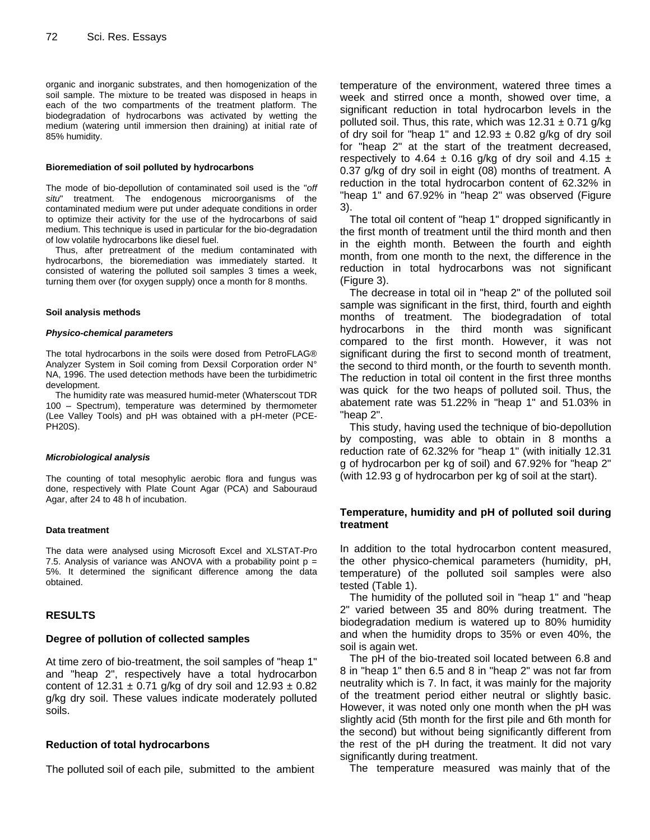organic and inorganic substrates, and then homogenization of the soil sample. The mixture to be treated was disposed in heaps in each of the two compartments of the treatment platform. The biodegradation of hydrocarbons was activated by wetting the medium (watering until immersion then draining) at initial rate of 85% humidity.

#### **Bioremediation of soil polluted by hydrocarbons**

The mode of bio-depollution of contaminated soil used is the "*off situ*" treatment. The endogenous microorganisms of the contaminated medium were put under adequate conditions in order to optimize their activity for the use of the hydrocarbons of said medium. This technique is used in particular for the bio-degradation of low volatile hydrocarbons like diesel fuel.

Thus, after pretreatment of the medium contaminated with hydrocarbons, the bioremediation was immediately started. It consisted of watering the polluted soil samples 3 times a week, turning them over (for oxygen supply) once a month for 8 months.

#### **Soil analysis methods**

#### *Physico-chemical parameters*

The total hydrocarbons in the soils were dosed from PetroFLAG® Analyzer System in Soil coming from Dexsil Corporation order N° NA, 1996. The used detection methods have been the turbidimetric development.

The humidity rate was measured humid-meter (Whaterscout TDR 100 – Spectrum), temperature was determined by thermometer (Lee Valley Tools) and pH was obtained with a pH-meter (PCE-PH20S).

#### *Microbiological analysis*

The counting of total mesophylic aerobic flora and fungus was done, respectively with Plate Count Agar (PCA) and Sabouraud Agar, after 24 to 48 h of incubation.

#### **Data treatment**

The data were analysed using Microsoft Excel and XLSTAT-Pro 7.5. Analysis of variance was ANOVA with a probability point  $p =$ 5%. It determined the significant difference among the data obtained.

## **RESULTS**

## **Degree of pollution of collected samples**

At time zero of bio-treatment, the soil samples of "heap 1" and "heap 2", respectively have a total hydrocarbon content of 12.31  $\pm$  0.71 g/kg of dry soil and 12.93  $\pm$  0.82 g/kg dry soil. These values indicate moderately polluted soils.

## **Reduction of total hydrocarbons**

The polluted soil of each pile, submitted to the ambient

temperature of the environment, watered three times a week and stirred once a month, showed over time, a significant reduction in total hydrocarbon levels in the polluted soil. Thus, this rate, which was  $12.31 \pm 0.71$  g/kg of dry soil for "heap 1" and  $12.93 \pm 0.82$  g/kg of dry soil for "heap 2" at the start of the treatment decreased, respectively to 4.64  $\pm$  0.16 g/kg of dry soil and 4.15  $\pm$ 0.37 g/kg of dry soil in eight (08) months of treatment. A reduction in the total hydrocarbon content of 62.32% in "heap 1" and 67.92% in "heap 2" was observed (Figure 3).

The total oil content of "heap 1" dropped significantly in the first month of treatment until the third month and then in the eighth month. Between the fourth and eighth month, from one month to the next, the difference in the reduction in total hydrocarbons was not significant (Figure 3).

The decrease in total oil in "heap 2" of the polluted soil sample was significant in the first, third, fourth and eighth months of treatment. The biodegradation of total hydrocarbons in the third month was significant compared to the first month. However, it was not significant during the first to second month of treatment, the second to third month, or the fourth to seventh month. The reduction in total oil content in the first three months was quick for the two heaps of polluted soil. Thus, the abatement rate was 51.22% in "heap 1" and 51.03% in "heap 2".

This study, having used the technique of bio-depollution by composting, was able to obtain in 8 months a reduction rate of 62.32% for "heap 1" (with initially 12.31 g of hydrocarbon per kg of soil) and 67.92% for "heap 2" (with 12.93 g of hydrocarbon per kg of soil at the start).

## **Temperature, humidity and pH of polluted soil during treatment**

In addition to the total hydrocarbon content measured, the other physico-chemical parameters (humidity, pH, temperature) of the polluted soil samples were also tested (Table 1).

The humidity of the polluted soil in "heap 1" and "heap 2" varied between 35 and 80% during treatment. The biodegradation medium is watered up to 80% humidity and when the humidity drops to 35% or even 40%, the soil is again wet.

The pH of the bio-treated soil located between 6.8 and 8 in "heap 1" then 6.5 and 8 in "heap 2" was not far from neutrality which is 7. In fact, it was mainly for the majority of the treatment period either neutral or slightly basic. However, it was noted only one month when the pH was slightly acid (5th month for the first pile and 6th month for the second) but without being significantly different from the rest of the pH during the treatment. It did not vary significantly during treatment.

The temperature measured was mainly that of the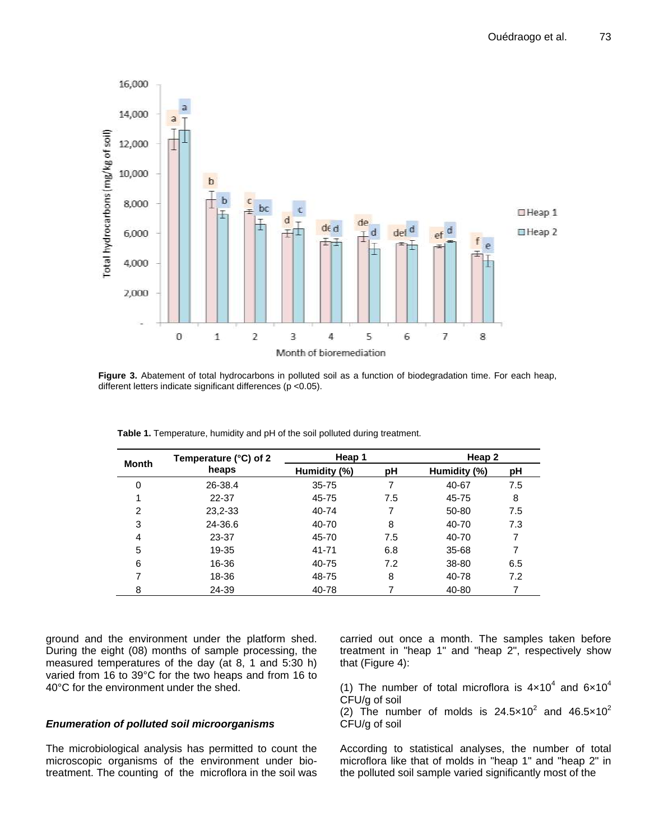

Figure 3. Abatement of total hydrocarbons in polluted soil as a function of biodegradation time. For each heap, different letters indicate significant differences (p <0.05).

| <b>Month</b>   | Temperature $(^{\circ}C)$ of 2<br>heaps | Heap 1       |     | Heap 2       |     |
|----------------|-----------------------------------------|--------------|-----|--------------|-----|
|                |                                         | Humidity (%) | pH  | Humidity (%) | рH  |
| $\Omega$       | 26-38.4                                 | $35 - 75$    | 7   | 40-67        | 7.5 |
|                | 22-37                                   | 45-75        | 7.5 | 45-75        | 8   |
| $\overline{2}$ | 23, 2-33                                | 40-74        | 7   | 50-80        | 7.5 |
| 3              | 24-36.6                                 | 40-70        | 8   | 40-70        | 7.3 |
| 4              | 23-37                                   | 45-70        | 7.5 | 40-70        |     |
| 5              | 19-35                                   | $41 - 71$    | 6.8 | 35-68        | 7   |
| 6              | 16-36                                   | 40-75        | 7.2 | 38-80        | 6.5 |
|                | 18-36                                   | 48-75        | 8   | 40-78        | 7.2 |
| 8              | 24-39                                   | 40-78        |     | 40-80        |     |

**Table 1.** Temperature, humidity and pH of the soil polluted during treatment.

ground and the environment under the platform shed. During the eight (08) months of sample processing, the measured temperatures of the day (at 8, 1 and 5:30 h) varied from 16 to 39°C for the two heaps and from 16 to 40°C for the environment under the shed.

# *Enumeration of polluted soil microorganisms*

The microbiological analysis has permitted to count the microscopic organisms of the environment under biotreatment. The counting of the microflora in the soil was carried out once a month. The samples taken before treatment in "heap 1" and "heap 2", respectively show that (Figure 4):

(1) The number of total microflora is  $4 \times 10^4$  and  $6 \times 10^4$ CFU/g of soil

(2) The number of molds is  $24.5 \times 10^2$  and  $46.5 \times 10^2$ CFU/g of soil

According to statistical analyses, the number of total microflora like that of molds in "heap 1" and "heap 2" in the polluted soil sample varied significantly most of the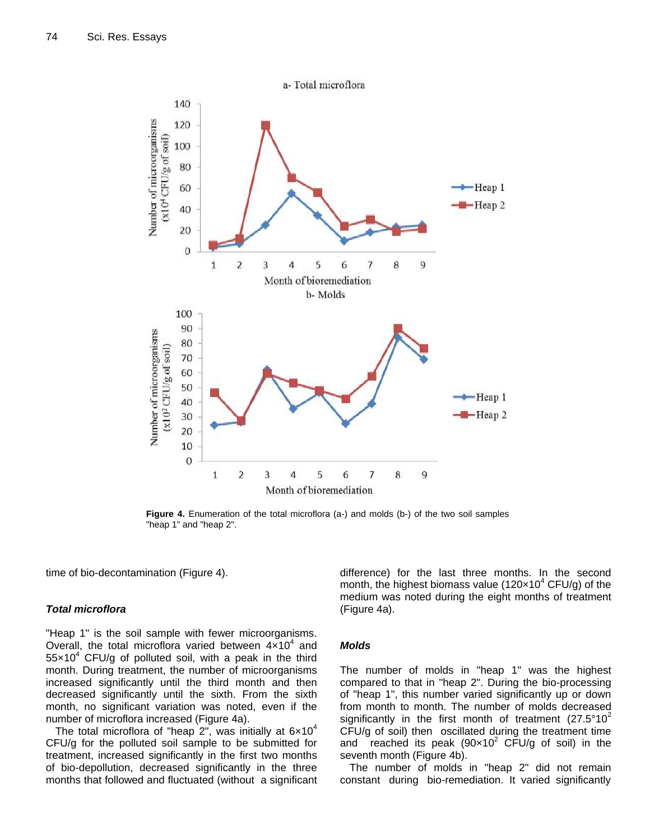

Figure 4. Enumeration of the total microflora (a-) and molds (b-) of the two soil samples "heap 1" and "heap 2".

time of bio-decontamination (Figure 4).

## *Total microflora*

"Heap 1" is the soil sample with fewer microorganisms. Overall, the total microflora varied between  $4 \times 10^4$  and  $55\times10^{4}$  CFU/g of polluted soil, with a peak in the third month. During treatment, the number of microorganisms increased significantly until the third month and then decreased significantly until the sixth. From the sixth month, no significant variation was noted, even if the number of microflora increased (Figure 4a).

The total microflora of "heap 2", was initially at  $6\times10^4$ CFU/g for the polluted soil sample to be submitted for treatment, increased significantly in the first two months of bio-depollution, decreased significantly in the three months that followed and fluctuated (without a significant difference) for the last three months. In the second month, the highest biomass value (120 $\times$ 10<sup>4</sup> CFU/g) of the medium was noted during the eight months of treatment (Figure 4a).

## *Molds*

The number of molds in "heap 1" was the highest compared to that in "heap 2". During the bio-processing of "heap 1", this number varied significantly up or down from month to month. The number of molds decreased significantly in the first month of treatment  $(27.5^{\circ}10^{2})$ CFU/g of soil) then oscillated during the treatment time and reached its peak  $(90 \times 10^2 \text{ CFU/g of soil})$  in the seventh month (Figure 4b).

The number of molds in "heap 2" did not remain constant during bio-remediation. It varied significantly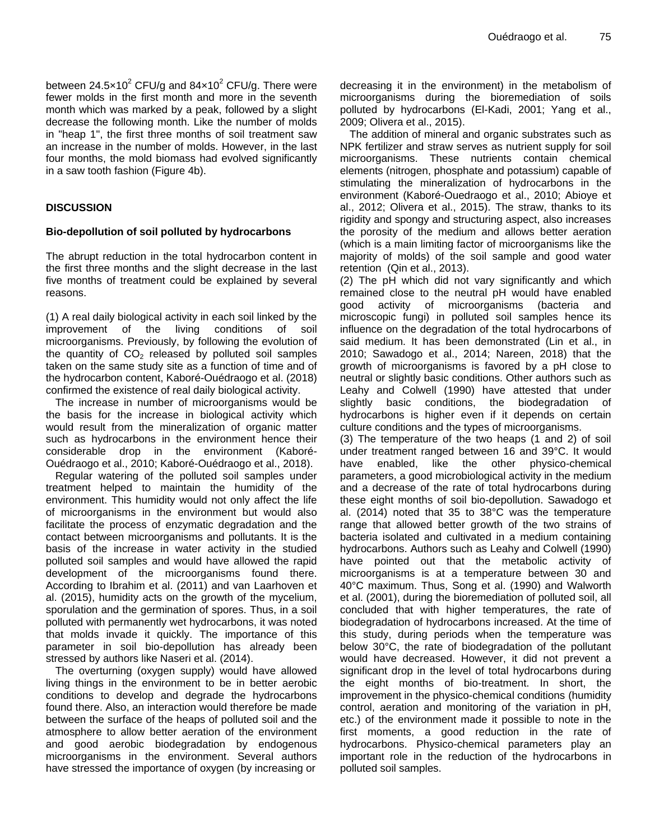between 24.5 $\times$ 10<sup>2</sup> CFU/g and 84 $\times$ 10<sup>2</sup> CFU/g. There were fewer molds in the first month and more in the seventh month which was marked by a peak, followed by a slight decrease the following month. Like the number of molds in "heap 1", the first three months of soil treatment saw an increase in the number of molds. However, in the last four months, the mold biomass had evolved significantly in a saw tooth fashion (Figure 4b).

# **DISCUSSION**

# **Bio-depollution of soil polluted by hydrocarbons**

The abrupt reduction in the total hydrocarbon content in the first three months and the slight decrease in the last five months of treatment could be explained by several reasons.

(1) A real daily biological activity in each soil linked by the improvement of the living conditions of soil microorganisms. Previously, by following the evolution of the quantity of  $CO<sub>2</sub>$  released by polluted soil samples taken on the same study site as a function of time and of the hydrocarbon content, Kaboré-Ouédraogo et al. (2018) confirmed the existence of real daily biological activity.

The increase in number of microorganisms would be the basis for the increase in biological activity which would result from the mineralization of organic matter such as hydrocarbons in the environment hence their considerable drop in the environment (Kaboré-Ouédraogo et al., 2010; Kaboré-Ouédraogo et al., 2018).

Regular watering of the polluted soil samples under treatment helped to maintain the humidity of the environment. This humidity would not only affect the life of microorganisms in the environment but would also facilitate the process of enzymatic degradation and the contact between microorganisms and pollutants. It is the basis of the increase in water activity in the studied polluted soil samples and would have allowed the rapid development of the microorganisms found there. According to Ibrahim et al. (2011) and van Laarhoven et al. (2015), humidity acts on the growth of the mycelium, sporulation and the germination of spores. Thus, in a soil polluted with permanently wet hydrocarbons, it was noted that molds invade it quickly. The importance of this parameter in soil bio-depollution has already been stressed by authors like Naseri et al. (2014).

The overturning (oxygen supply) would have allowed living things in the environment to be in better aerobic conditions to develop and degrade the hydrocarbons found there. Also, an interaction would therefore be made between the surface of the heaps of polluted soil and the atmosphere to allow better aeration of the environment and good aerobic biodegradation by endogenous microorganisms in the environment. Several authors have stressed the importance of oxygen (by increasing or

decreasing it in the environment) in the metabolism of microorganisms during the bioremediation of soils polluted by hydrocarbons (El-Kadi, 2001; Yang et al., 2009; Olivera et al., 2015).

The addition of mineral and organic substrates such as NPK fertilizer and straw serves as nutrient supply for soil microorganisms. These nutrients contain chemical elements (nitrogen, phosphate and potassium) capable of stimulating the mineralization of hydrocarbons in the environment (Kaboré-Ouedraogo et al., 2010; Abioye et al., 2012; Olivera et al., 2015). The straw, thanks to its rigidity and spongy and structuring aspect, also increases the porosity of the medium and allows better aeration (which is a main limiting factor of microorganisms like the majority of molds) of the soil sample and good water retention (Qin et al., 2013).

(2) The pH which did not vary significantly and which remained close to the neutral pH would have enabled good activity of microorganisms (bacteria and microscopic fungi) in polluted soil samples hence its influence on the degradation of the total hydrocarbons of said medium. It has been demonstrated (Lin et al., in 2010; Sawadogo et al., 2014; Nareen, 2018) that the growth of microorganisms is favored by a pH close to neutral or slightly basic conditions. Other authors such as Leahy and Colwell (1990) have attested that under slightly basic conditions, the biodegradation of hydrocarbons is higher even if it depends on certain culture conditions and the types of microorganisms.

(3) The temperature of the two heaps (1 and 2) of soil under treatment ranged between 16 and 39°C. It would have enabled, like the other physico-chemical parameters, a good microbiological activity in the medium and a decrease of the rate of total hydrocarbons during these eight months of soil bio-depollution. Sawadogo et al. (2014) noted that 35 to 38°C was the temperature range that allowed better growth of the two strains of bacteria isolated and cultivated in a medium containing hydrocarbons. Authors such as Leahy and Colwell (1990) have pointed out that the metabolic activity of microorganisms is at a temperature between 30 and 40°C maximum. Thus, Song et al. (1990) and Walworth et al. (2001), during the bioremediation of polluted soil, all concluded that with higher temperatures, the rate of biodegradation of hydrocarbons increased. At the time of this study, during periods when the temperature was below 30°C, the rate of biodegradation of the pollutant would have decreased. However, it did not prevent a significant drop in the level of total hydrocarbons during the eight months of bio-treatment. In short, the improvement in the physico-chemical conditions (humidity control, aeration and monitoring of the variation in pH, etc.) of the environment made it possible to note in the first moments, a good reduction in the rate of hydrocarbons. Physico-chemical parameters play an important role in the reduction of the hydrocarbons in polluted soil samples.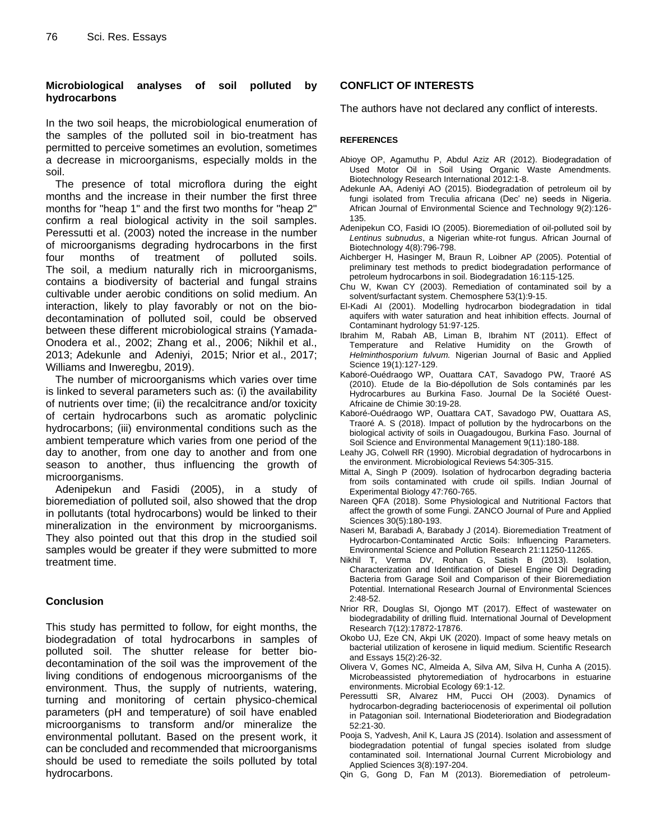# **Microbiological analyses of soil polluted by hydrocarbons**

In the two soil heaps, the microbiological enumeration of the samples of the polluted soil in bio-treatment has permitted to perceive sometimes an evolution, sometimes a decrease in microorganisms, especially molds in the soil.

The presence of total microflora during the eight months and the increase in their number the first three months for "heap 1" and the first two months for "heap 2" confirm a real biological activity in the soil samples. Peressutti et al. (2003) noted the increase in the number of microorganisms degrading hydrocarbons in the first four months of treatment of polluted soils. The soil, a medium naturally rich in microorganisms, contains a biodiversity of bacterial and fungal strains cultivable under aerobic conditions on solid medium. An interaction, likely to play favorably or not on the biodecontamination of polluted soil, could be observed between these different microbiological strains (Yamada-Onodera et al., 2002; Zhang et al., 2006; Nikhil et al., 2013; Adekunle and Adeniyi, 2015; Nrior et al., 2017; Williams and Inweregbu, 2019).

The number of microorganisms which varies over time is linked to several parameters such as: (i) the availability of nutrients over time; (ii) the recalcitrance and/or toxicity of certain hydrocarbons such as aromatic polyclinic hydrocarbons; (iii) environmental conditions such as the ambient temperature which varies from one period of the day to another, from one day to another and from one season to another, thus influencing the growth of microorganisms.

Adenipekun and Fasidi (2005), in a study of bioremediation of polluted soil, also showed that the drop in pollutants (total hydrocarbons) would be linked to their mineralization in the environment by microorganisms. They also pointed out that this drop in the studied soil samples would be greater if they were submitted to more treatment time.

# **Conclusion**

This study has permitted to follow, for eight months, the biodegradation of total hydrocarbons in samples of polluted soil. The shutter release for better biodecontamination of the soil was the improvement of the living conditions of endogenous microorganisms of the environment. Thus, the supply of nutrients, watering, turning and monitoring of certain physico-chemical parameters (pH and temperature) of soil have enabled microorganisms to transform and/or mineralize the environmental pollutant. Based on the present work, it can be concluded and recommended that microorganisms should be used to remediate the soils polluted by total hydrocarbons.

# **CONFLICT OF INTERESTS**

The authors have not declared any conflict of interests.

# **REFERENCES**

- Abioye OP, Agamuthu P, Abdul Aziz AR (2012). Biodegradation of Used Motor Oil in Soil Using Organic Waste Amendments. Biotechnology Research International 2012:1-8.
- Adekunle AA, Adeniyi AO (2015). Biodegradation of petroleum oil by fungi isolated from Treculia africana (Dec' ne) seeds in Nigeria. African Journal of Environmental Science and Technology 9(2):126- 135.
- Adenipekun CO, Fasidi IO (2005). Bioremediation of oil-polluted soil by *Lentinus subnudus*, a Nigerian white-rot fungus. African Journal of Biotechnology 4(8):796-798.
- Aichberger H, Hasinger M, Braun R, Loibner AP (2005). Potential of preliminary test methods to predict biodegradation performance of petroleum hydrocarbons in soil. Biodegradation 16:115-125.
- Chu W, Kwan CY (2003). Remediation of contaminated soil by a solvent/surfactant system. Chemosphere 53(1):9-15.
- El-Kadi AI (2001). Modelling hydrocarbon biodegradation in tidal aquifers with water saturation and heat inhibition effects. Journal of Contaminant hydrology 51:97-125.
- Ibrahim M, Rabah AB, Liman B, Ibrahim NT (2011). Effect of Temperature and Relative Humidity on the Growth of *Helminthosporium fulvum.* Nigerian Journal of Basic and Applied Science 19(1):127-129.
- Kaboré-Ouédraogo WP, Ouattara CAT, Savadogo PW, Traoré AS (2010). Etude de la Bio-dépollution de Sols contaminés par les Hydrocarbures au Burkina Faso. Journal De la Société Ouest-Africaine de Chimie 30:19-28.
- Kaboré-Ouédraogo WP, Ouattara CAT, Savadogo PW, Ouattara AS, Traoré A. S (2018). Impact of pollution by the hydrocarbons on the biological activity of soils in Ouagadougou, Burkina Faso. Journal of Soil Science and Environmental Management 9(11):180-188.
- Leahy JG, Colwell RR (1990). Microbial degradation of hydrocarbons in the environment. Microbiological Reviews 54:305-315.
- Mittal A, Singh P (2009). Isolation of hydrocarbon degrading bacteria from soils contaminated with crude oil spills. Indian Journal of Experimental Biology 47:760-765.
- Nareen QFA (2018). Some Physiological and Nutritional Factors that affect the growth of some Fungi. ZANCO Journal of Pure and Applied Sciences 30(5):180-193.
- Naseri M, Barabadi A, Barabady J (2014). Bioremediation Treatment of Hydrocarbon-Contaminated Arctic Soils: Influencing Parameters. Environmental Science and Pollution Research 21:11250-11265.
- Nikhil T, Verma DV, Rohan G, Satish B (2013). Isolation, Characterization and Identification of Diesel Engine Oil Degrading Bacteria from Garage Soil and Comparison of their Bioremediation Potential. International Research Journal of Environmental Sciences 2:48-52.
- Nrior RR, Douglas SI, Ojongo MT (2017). Effect of wastewater on biodegradability of drilling fluid. International Journal of Development Research 7(12):17872-17876.
- Okobo UJ, Eze CN, Akpi UK (2020). Impact of some heavy metals on bacterial utilization of kerosene in liquid medium. Scientific Research and Essays 15(2):26-32.
- Olivera V, Gomes NC, Almeida A, Silva AM, Silva H, Cunha A (2015). Microbeassisted phytoremediation of hydrocarbons in estuarine environments. Microbial Ecology 69:1-12.
- Peressutti SR, Alvarez HM, Pucci OH (2003). Dynamics of hydrocarbon-degrading bacteriocenosis of experimental oil pollution in Patagonian soil. International Biodeterioration and Biodegradation 52:21-30.
- Pooja S, Yadvesh, Anil K, Laura JS (2014). Isolation and assessment of biodegradation potential of fungal species isolated from sludge contaminated soil. International Journal Current Microbiology and Applied Sciences 3(8):197-204.
- Qin G, Gong D, Fan M (2013). Bioremediation of petroleum-